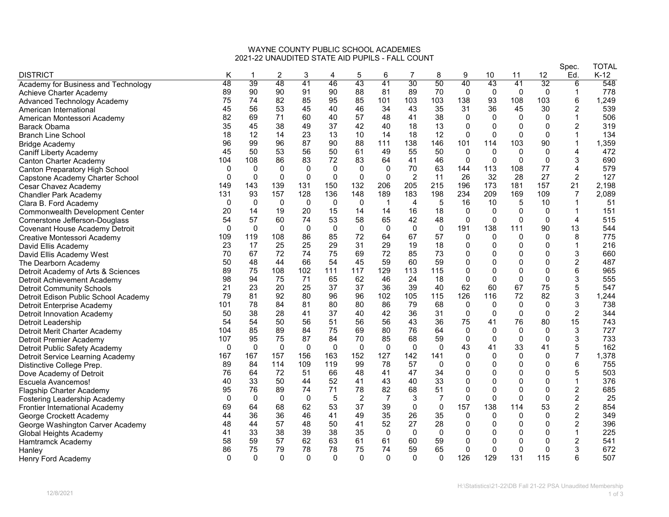## WAYNE COUNTY PUBLIC SCHOOL ACADEMIES 2021-22 UNAUDITED STATE AID PUPILS - FALL COUNT

|                                        |              |              |             |             |              |                |                |              |                |              |              |              |             | Spec.          | TOTAL  |
|----------------------------------------|--------------|--------------|-------------|-------------|--------------|----------------|----------------|--------------|----------------|--------------|--------------|--------------|-------------|----------------|--------|
| <b>DISTRICT</b>                        | Κ            |              | 2           | 3           |              | 5              | 6              |              | 8              | 9            | 10           | 11           | 12          | Ed.            | $K-12$ |
| Academy for Business and Technology    | 48           | 39           | 48          | 41          | 46           | 43             | 41             | 30           | 50             | 40           | 43           | 41           | 32          | 6              | 548    |
| Achieve Charter Academy                | 89           | 90           | 90          | 91          | 90           | 88             | 81             | 89           | 70             | 0            | 0            | 0            | 0           | 1              | 778    |
| Advanced Technology Academy            | 75           | 74           | 82          | 85          | 95           | 85             | 101            | 103          | 103            | 138          | 93           | 108          | 103         | 6              | 1,249  |
| American International                 | 45           | 56           | 53          | 45          | 40           | 46             | 34             | 43           | 35             | 31           | 36           | 45           | 30          | $\overline{c}$ | 539    |
| American Montessori Academy            | 82           | 69           | 71          | 60          | 40           | 57             | 48             | 41           | 38             | 0            | $\Omega$     | 0            | 0           | 1              | 506    |
| Barack Obama                           | 35           | 45           | 38          | 49          | 37           | 42             | 40             | 18           | 13             | $\mathbf{0}$ | $\mathbf{0}$ | $\mathbf{0}$ | $\mathbf 0$ | $\overline{2}$ | 319    |
| <b>Branch Line School</b>              | 18           | 12           | 14          | 23          | 13           | 10             | 14             | 18           | 12             | $\mathbf{0}$ | $\Omega$     | $\Omega$     | $\Omega$    |                | 134    |
| <b>Bridge Academy</b>                  | 96           | 99           | 96          | 87          | 90           | 88             | 111            | 138          | 146            | 101          | 114          | 103          | 90          |                | 1,359  |
| <b>Caniff Liberty Academy</b>          | 45           | 50           | 53          | 56          | 50           | 61             | 49             | 55           | 50             | $\Omega$     | $\Omega$     | $\mathbf{0}$ | $\mathbf 0$ | 4              | 472    |
| <b>Canton Charter Academy</b>          | 104          | 108          | 86          | 83          | 72           | 83             | 64             | 41           | 46             | $\mathbf{0}$ | $\Omega$     | $\Omega$     | $\Omega$    | 3              | 690    |
| Canton Preparatory High School         | $\mathbf{0}$ | 0            | 0           | 0           | $\Omega$     | 0              | $\Omega$       | 70           | 63             | 144          | 113          | 108          | 77          | 4              | 579    |
| Capstone Academy Charter School        | $\Omega$     | $\Omega$     | $\Omega$    | $\mathbf 0$ | $\Omega$     | $\Omega$       | $\mathbf{0}$   | 2            | 11             | 26           | 32           | 28           | 27          | $\overline{2}$ | 127    |
| Cesar Chavez Academy                   | 149          | 143          | 139         | 131         | 150          | 132            | 206            | 205          | 215            | 196          | 173          | 181          | 157         | 21             | 2,198  |
| <b>Chandler Park Academy</b>           | 131          | 93           | 157         | 128         | 136          | 148            | 189            | 183          | 198            | 234          | 209          | 169          | 109         | 7              | 2,089  |
| Clara B. Ford Academy                  | $\Omega$     | $\mathbf{0}$ | $\Omega$    | $\mathbf 0$ | $\mathbf{0}$ | $\mathbf 0$    | $\mathbf 1$    | 4            | 5              | 16           | 10           | 5            | 10          | $\mathbf 1$    | 51     |
| <b>Commonwealth Development Center</b> | 20           | 14           | 19          | 20          | 15           | 14             | 14             | 16           | 18             | 0            | $\mathbf{0}$ | 0            | 0           | 1              | 151    |
| Cornerstone Jefferson-Douglass         | 54           | 57           | 60          | 74          | 53           | 58             | 65             | 42           | 48             | $\Omega$     | $\mathbf{0}$ | $\Omega$     | $\Omega$    | 4              | 515    |
| Covenant House Academy Detroit         | $\Omega$     | $\Omega$     | $\Omega$    | $\Omega$    | $\Omega$     | $\Omega$       | $\Omega$       | $\mathbf{0}$ | $\mathbf 0$    | 191          | 138          | 111          | 90          | 13             | 544    |
| Creative Montessori Academy            | 109          | 119          | 108         | 86          | 85           | 72             | 64             | 67           | 57             | $\Omega$     | 0            | $\mathbf{0}$ | $\mathbf 0$ | 8              | 775    |
| David Ellis Academy                    | 23           | 17           | 25          | 25          | 29           | 31             | 29             | 19           | 18             | 0            | $\mathbf{0}$ | $\mathbf 0$  | 0           | $\mathbf{1}$   | 216    |
| David Ellis Academy West               | 70           | 67           | 72          | 74          | 75           | 69             | 72             | 85           | 73             | 0            | O            | $\mathbf{0}$ | 0           | 3              | 660    |
| The Dearborn Academy                   | 50           | 48           | 44          | 66          | 54           | 45             | 59             | 60           | 59             | 0            | 0            | $\mathbf 0$  | 0           | $\overline{c}$ | 487    |
| Detroit Academy of Arts & Sciences     | 89           | 75           | 108         | 102         | 111          | 117            | 129            | 113          | 115            | $\mathbf 0$  | $\Omega$     | $\mathbf{0}$ | 0           | 6              | 965    |
| Detroit Achievement Academy            | 98           | 94           | 75          | 71          | 65           | 62             | 46             | 24           | 18             | $\Omega$     | $\Omega$     | $\Omega$     | $\Omega$    | 3              | 555    |
| <b>Detroit Community Schools</b>       | 21           | 23           | 20          | 25          | 37           | 37             | 36             | 39           | 40             | 62           | 60           | 67           | 75          | 5              | 547    |
| Detroit Edison Public School Academy   | 79           | 81           | 92          | 80          | 96           | 96             | 102            | 105          | 115            | 126          | 116          | 72           | 82          | 3              | 1,244  |
| Detroit Enterprise Academy             | 101          | 78           | 84          | 81          | 80           | 80             | 86             | 79           | 68             | 0            | 0            | 0            | 0           | 3              | 738    |
| <b>Detroit Innovation Academy</b>      | 50           | 38           | 28          | 41          | 37           | 40             | 42             | 36           | 31             | $\mathbf 0$  | $\Omega$     | $\mathbf 0$  | $\mathbf 0$ | $\overline{c}$ | 344    |
| Detroit Leadership                     | 54           | 54           | 50          | 56          | 51           | 56             | 56             | 43           | 36             | 75           | 41           | 76           | 80          | 15             | 743    |
| Detroit Merit Charter Academy          | 104          | 85           | 89          | 84          | 75           | 69             | 80             | 76           | 64             | $\mathbf 0$  | $\mathbf 0$  | 0            | $\mathbf 0$ | 3              | 727    |
| Detroit Premier Academy                | 107          | 95           | 75          | 87          | 84           | 70             | 85             | 68           | 59             | $\mathbf 0$  | $\Omega$     | $\Omega$     | $\mathbf 0$ | 3              | 733    |
| Detroit Public Safety Academy          | $\mathbf{0}$ | $\Omega$     | $\mathbf 0$ | $\mathbf 0$ | $\Omega$     | $\mathbf 0$    | $\Omega$       | $\Omega$     | $\mathbf{0}$   | 43           | 41           | 33           | 41          | 5              | 162    |
| Detroit Service Learning Academy       | 167          | 167          | 157         | 156         | 163          | 152            | 127            | 142          | 141            | $\mathbf 0$  | $\Omega$     | $\mathbf 0$  | $\mathbf 0$ | $\overline{7}$ | 1,378  |
| Distinctive College Prep.              | 89           | 84           | 114         | 109         | 119          | 99             | 78             | 57           | $\mathbf{0}$   | 0            | $\Omega$     | $\Omega$     | 0           | 6              | 755    |
| Dove Academy of Detroit                | 76           | 64           | 72          | 51          | 66           | 48             | 41             | 47           | 34             | 0            | 0            | $\mathbf{0}$ | 0           | 5              | 503    |
| Escuela Avancemos!                     | 40           | 33           | 50          | 44          | 52           | 41             | 43             | 40           | 33             | 0            | $\mathbf{0}$ | $\mathbf 0$  | 0           | $\mathbf{1}$   | 376    |
| <b>Flagship Charter Academy</b>        | 95           | 76           | 89          | 74          | 71           | 78             | 82             | 68           | 51             | $\mathbf{0}$ | $\Omega$     | $\mathbf{0}$ | $\mathbf 0$ | $\overline{c}$ | 685    |
| Fostering Leadership Academy           | 0            | $\Omega$     | 0           | 0           | 5            | $\overline{c}$ | $\overline{7}$ | 3            | $\overline{7}$ | $\mathbf 0$  | 0            | $\Omega$     | $\mathbf 0$ | $\overline{c}$ | 25     |
| <b>Frontier International Academy</b>  | 69           | 64           | 68          | 62          | 53           | 37             | 39             | $\Omega$     | $\mathbf 0$    | 157          | 138          | 114          | 53          | $\overline{c}$ | 854    |
| George Crockett Academy                | 44           | 36           | 36          | 46          | 41           | 49             | 35             | 26           | 35             | $\mathbf{0}$ | $\mathbf{0}$ | $\mathbf{0}$ | $\mathbf 0$ | $\overline{c}$ | 349    |
| George Washington Carver Academy       | 48           | 44           | 57          | 48          | 50           | 41             | 52             | 27           | 28             | 0            | 0            | 0            | 0           | $\overline{2}$ | 396    |
| Global Heights Academy                 | 41           | 33           | 38          | 39          | 38           | 35             | $\Omega$       | $\mathbf{0}$ | $\mathbf 0$    | 0            | $\Omega$     | $\mathbf{0}$ | 0           | $\mathbf{1}$   | 225    |
| Hamtramck Academy                      | 58           | 59           | 57          | 62          | 63           | 61             | 61             | 60           | 59             | $\mathbf{0}$ | $\Omega$     | $\Omega$     | $\Omega$    | $\overline{2}$ | 541    |
| Hanley                                 | 86           | 75           | 79          | 78          | 78           | 75             | 74             | 59           | 65             | $\mathbf{0}$ | $\mathbf{0}$ | $\mathbf{0}$ | 0           | 3              | 672    |
| Henry Ford Academy                     | $\Omega$     | $\Omega$     | $\Omega$    | $\Omega$    | $\Omega$     | $\Omega$       | $\Omega$       | $\Omega$     | $\Omega$       | 126          | 129          | 131          | 115         | 6              | 507    |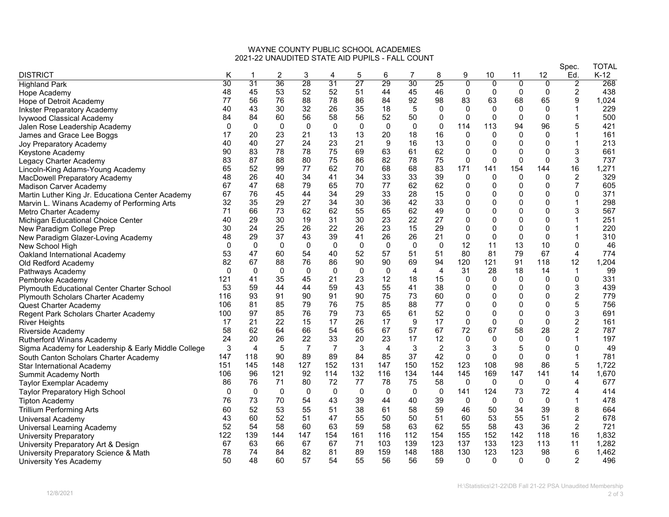## WAYNE COUNTY PUBLIC SCHOOL ACADEMIES 2021-22 UNAUDITED STATE AID PUPILS - FALL COUNT

|                                                     |          |                |             |                |                |             |                |          |                |                |                |                |                | Spec.                   | TOTAL  |
|-----------------------------------------------------|----------|----------------|-------------|----------------|----------------|-------------|----------------|----------|----------------|----------------|----------------|----------------|----------------|-------------------------|--------|
| <b>DISTRICT</b>                                     | Κ        |                | 2           | 3              |                | 5           | 6              | 7        | 8              | 9              | 10             | 11             | 12             | Ed.                     | $K-12$ |
| <b>Highland Park</b>                                | 30       | 31             | 36          | 28             | 31             | 27          | 29             | 30       | 25             | $\overline{0}$ | $\overline{0}$ | $\overline{0}$ | $\overline{0}$ | $\overline{2}$          | 268    |
| Hope Academy                                        | 48       | 45             | 53          | 52             | 52             | 51          | 44             | 45       | 46             | $\mathbf{0}$   | $\Omega$       | $\Omega$       | $\Omega$       | $\overline{\mathbf{c}}$ | 438    |
| Hope of Detroit Academy                             | 77       | 56             | 76          | 88             | 78             | 86          | 84             | 92       | 98             | 83             | 63             | 68             | 65             | 9                       | 1,024  |
| <b>Inkster Preparatory Academy</b>                  | 40       | 43             | 30          | 32             | 26             | 35          | 18             | 5        | $\mathbf{0}$   | $\Omega$       | 0              | $\Omega$       | 0              |                         | 229    |
| Ivywood Classical Academy                           | 84       | 84             | 60          | 56             | 58             | 56          | 52             | 50       | 0              | $\mathbf{0}$   | $\Omega$       | $\Omega$       | $\mathbf 0$    | 1                       | 500    |
| Jalen Rose Leadership Academy                       | $\Omega$ | $\Omega$       | 0           | 0              | $\mathbf{0}$   | 0           | 0              | $\Omega$ | 0              | 114            | 113            | 94             | 96             | 5                       | 421    |
| James and Grace Lee Boggs                           | 17       | 20             | 23          | 21             | 13             | 13          | 20             | 18       | 16             | $\mathbf{0}$   | 0              | $\Omega$       | $\mathbf{0}$   |                         | 161    |
| Joy Preparatory Academy                             | 40       | 40             | 27          | 24             | 23             | 21          | 9              | 16       | 13             | 0              | $\mathbf{0}$   | $\mathbf{0}$   | $\Omega$       | 1                       | 213    |
| Keystone Academy                                    | 90       | 83             | 78          | 78             | 75             | 69          | 63             | 61       | 62             | 0              | 0              | $\mathbf{0}$   | $\Omega$       | 3                       | 661    |
| Legacy Charter Academy                              | 83       | 87             | 88          | 80             | 75             | 86          | 82             | 78       | 75             | $\mathbf{0}$   | 0              | $\Omega$       | $\Omega$       | 3                       | 737    |
| Lincoln-King Adams-Young Academy                    | 65       | 52             | 99          | 77             | 62             | 70          | 68             | 68       | 83             | 171            | 141            | 154            | 144            | 16                      | 1,271  |
| MacDowell Preparatory Academy                       | 48       | 26             | 40          | 34             | 41             | 34          | 33             | 33       | 39             | $\mathbf{0}$   | $\Omega$       | $\mathbf 0$    | $\mathbf{0}$   | $\boldsymbol{2}$        | 329    |
| <b>Madison Carver Academy</b>                       | 67       | 47             | 68          | 79             | 65             | 70          | 77             | 62       | 62             | 0              | $\mathbf{0}$   | $\mathbf 0$    | 0              | $\overline{7}$          | 605    |
| Martin Luther King Jr. Educationa Center Academy    | 67       | 76             | 45          | 44             | 34             | 29          | 33             | 28       | 15             | 0              | 0              | $\mathbf 0$    | 0              | 0                       | 371    |
| Marvin L. Winans Academy of Performing Arts         | 32       | 35             | 29          | 27             | 34             | 30          | 36             | 42       | 33             | 0              | 0              | $\mathbf{0}$   | $\mathbf{0}$   | 1                       | 298    |
| Metro Charter Academy                               | 71       | 66             | 73          | 62             | 62             | 55          | 65             | 62       | 49             | 0              | O              | $\mathbf{0}$   | 0              | 3                       | 567    |
| Michigan Educational Choice Center                  | 40       | 29             | 30          | 19             | 31             | 30          | 23             | 22       | 27             | $\mathbf 0$    | 0              | $\mathbf 0$    | $\mathbf{0}$   |                         | 251    |
| New Paradigm College Prep                           | 30       | 24             | 25          | 26             | 22             | 26          | 23             | 15       | 29             | 0              | 0              | $\mathbf 0$    | $\mathbf 0$    | 1                       | 220    |
| New Paradigm Glazer-Loving Academy                  | 48       | 29             | 37          | 43             | 39             | 41          | 26             | 26       | 21             | 0              | $\Omega$       | 0              | $\mathbf 0$    | 1                       | 310    |
| New School High                                     | $\Omega$ | $\mathbf{0}$   | 0           | $\mathbf 0$    | $\mathbf{0}$   | 0           | $\Omega$       | $\Omega$ | $\mathbf 0$    | 12             | 11             | 13             | 10             | $\Omega$                | 46     |
| Oakland International Academy                       | 53       | 47             | 60          | 54             | 40             | 52          | 57             | 51       | 51             | 80             | 81             | 79             | 67             | 4                       | 774    |
| Old Redford Academy                                 | 82       | 67             | 88          | 76             | 86             | 90          | 90             | 69       | 94             | 120            | 121            | 91             | 118            | 12                      | 1,204  |
| Pathways Academy                                    | $\Omega$ | 0              | 0           | $\mathbf{0}$   | $\Omega$       | 0           | $\mathbf 0$    | 4        | $\overline{4}$ | 31             | 28             | 18             | 14             | 1                       | 99     |
| Pembroke Academy                                    | 121      | 41             | 35          | 45             | 21             | 23          | 12             | 18       | 15             | 0              | 0              | 0              | $\mathbf 0$    | 0                       | 331    |
| Plymouth Educational Center Charter School          | 53       | 59             | 44          | 44             | 59             | 43          | 55             | 41       | 38             | 0              | $\Omega$       | $\Omega$       | 0              | 3                       | 439    |
| Plymouth Scholars Charter Academy                   | 116      | 93             | 91          | 90             | 91             | 90          | 75             | 73       | 60             | 0              | 0              | $\mathbf 0$    | 0              | $\overline{c}$          | 779    |
| Quest Charter Academy                               | 106      | 81             | 85          | 79             | 76             | 75          | 85             | 88       | 77             | 0              | O              | $\mathbf{0}$   | $\mathbf 0$    | 5                       | 756    |
| Regent Park Scholars Charter Academy                | 100      | 97             | 85          | 76             | 79             | 73          | 65             | 61       | 52             | 0              | $\Omega$       | $\mathbf{0}$   | $\mathbf{0}$   | 3                       | 691    |
| <b>River Heights</b>                                | 17       | 21             | 22          | 15             | 17             | 26          | 17             | 9        | 17             | 0              | 0              | $\mathbf{0}$   | 0              | 2                       | 161    |
| Riverside Academy                                   | 58       | 62             | 64          | 66             | 54             | 65          | 67             | 57       | 67             | 72             | 67             | 58             | 28             | $\overline{2}$          | 787    |
| <b>Rutherford Winans Academy</b>                    | 24       | 20             | 26          | 22             | 33             | 20          | 23             | 17       | 12             | 0              | $\Omega$       | $\mathbf 0$    | 0              | $\mathbf{1}$            | 197    |
| Sigma Academy for Leadership & Early Middle College | 3        | $\overline{4}$ | 5           | $\overline{7}$ | $\overline{7}$ | 3           | $\overline{4}$ | 3        | $\overline{c}$ | 3              | 3              | 5              | 0              | $\mathbf{0}$            | 49     |
| South Canton Scholars Charter Academy               | 147      | 118            | 90          | 89             | 89             | 84          | 85             | 37       | 42             | $\mathbf{0}$   | $\mathbf{0}$   | $\Omega$       | $\Omega$       | 1                       | 781    |
| Star International Academy                          | 151      | 145            | 148         | 127            | 152            | 131         | 147            | 150      | 152            | 123            | 108            | 98             | 86             | 5                       | 1,722  |
| Summit Academy North                                | 106      | 96             | 121         | 92             | 114            | 132         | 116            | 134      | 144            | 145            | 169            | 147            | 141            | 14                      | 1,670  |
| <b>Taylor Exemplar Academy</b>                      | 86       | 76             | 71          | 80             | 72             | 77          | 78             | 75       | 58             | 0              | 0              | 0              | 0              | 4                       | 677    |
| Taylor Preparatory High School                      | 0        | $\Omega$       | $\mathbf 0$ | 0              | $\mathbf 0$    | $\mathbf 0$ | $\mathbf 0$    | 0        | 0              | 141            | 124            | 73             | 72             | 4                       | 414    |
| <b>Tipton Academy</b>                               | 76       | 73             | 70          | 54             | 43             | 39          | 44             | 40       | 39             | $\mathbf 0$    | $\Omega$       | $\Omega$       | $\mathbf 0$    | 1                       | 478    |
| <b>Trillium Performing Arts</b>                     | 60       | 52             | 53          | 55             | 51             | 38          | 61             | 58       | 59             | 46             | 50             | 34             | 39             | 8                       | 664    |
| Universal Academy                                   | 43       | 60             | 52          | 51             | 47             | 55          | 50             | 50       | 51             | 60             | 53             | 55             | 51             | $\overline{c}$          | 678    |
| Universal Learning Academy                          | 52       | 54             | 58          | 60             | 63             | 59          | 58             | 63       | 62             | 55             | 58             | 43             | 36             | $\overline{2}$          | 721    |
| <b>University Preparatory</b>                       | 122      | 139            | 144         | 147            | 154            | 161         | 116            | 112      | 154            | 155            | 152            | 142            | 118            | 16                      | 1,832  |
| University Preparatory Art & Design                 | 67       | 63             | 66          | 67             | 67             | 71          | 103            | 139      | 123            | 137            | 133            | 123            | 113            | 11                      | 1,282  |
| University Preparatory Science & Math               | 78       | 74             | 84          | 82             | 81             | 89          | 159            | 148      | 188            | 130            | 123            | 123            | 98             | 6                       | 1,462  |
| University Yes Academy                              | 50       | 48             | 60          | 57             | 54             | 55          | 56             | 56       | 59             | $\Omega$       | $\Omega$       | $\Omega$       | $\Omega$       | 2                       | 496    |
|                                                     |          |                |             |                |                |             |                |          |                |                |                |                |                |                         |        |